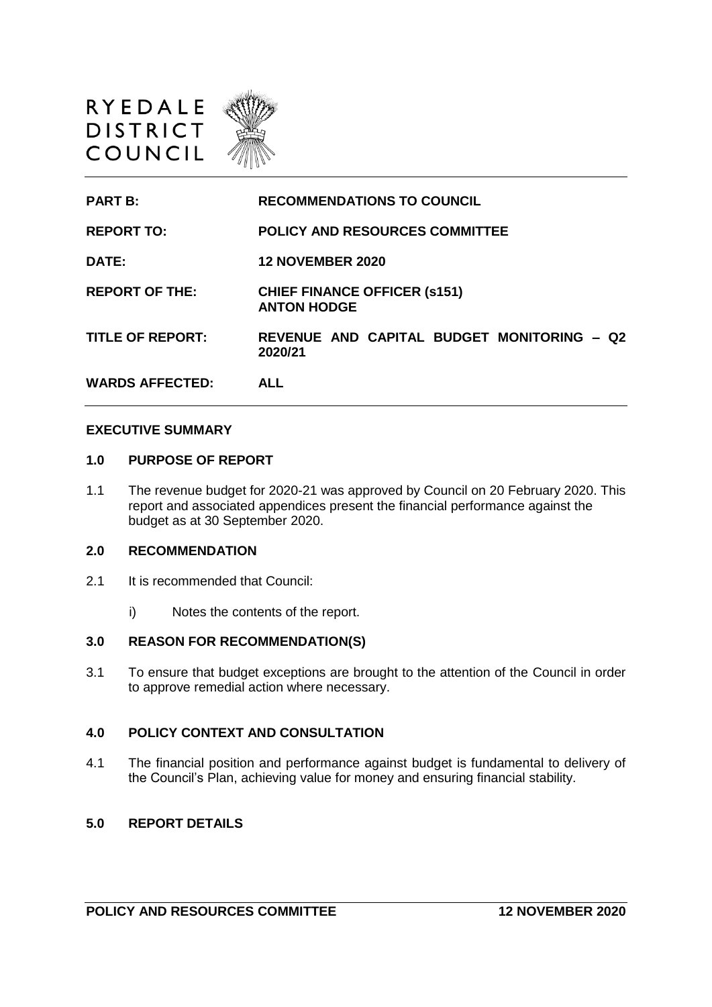

**PART B: RECOMMENDATIONS TO COUNCIL REPORT TO: POLICY AND RESOURCES COMMITTEE DATE: 12 NOVEMBER 2020 REPORT OF THE: CHIEF FINANCE OFFICER (s151) ANTON HODGE TITLE OF REPORT: REVENUE AND CAPITAL BUDGET MONITORING – Q2 2020/21 WARDS AFFECTED: ALL**

#### **EXECUTIVE SUMMARY**

#### **1.0 PURPOSE OF REPORT**

1.1 The revenue budget for 2020-21 was approved by Council on 20 February 2020. This report and associated appendices present the financial performance against the budget as at 30 September 2020.

#### **2.0 RECOMMENDATION**

- 2.1 It is recommended that Council:
	- i) Notes the contents of the report.

#### **3.0 REASON FOR RECOMMENDATION(S)**

3.1 To ensure that budget exceptions are brought to the attention of the Council in order to approve remedial action where necessary.

### **4.0 POLICY CONTEXT AND CONSULTATION**

4.1 The financial position and performance against budget is fundamental to delivery of the Council's Plan, achieving value for money and ensuring financial stability.

### **5.0 REPORT DETAILS**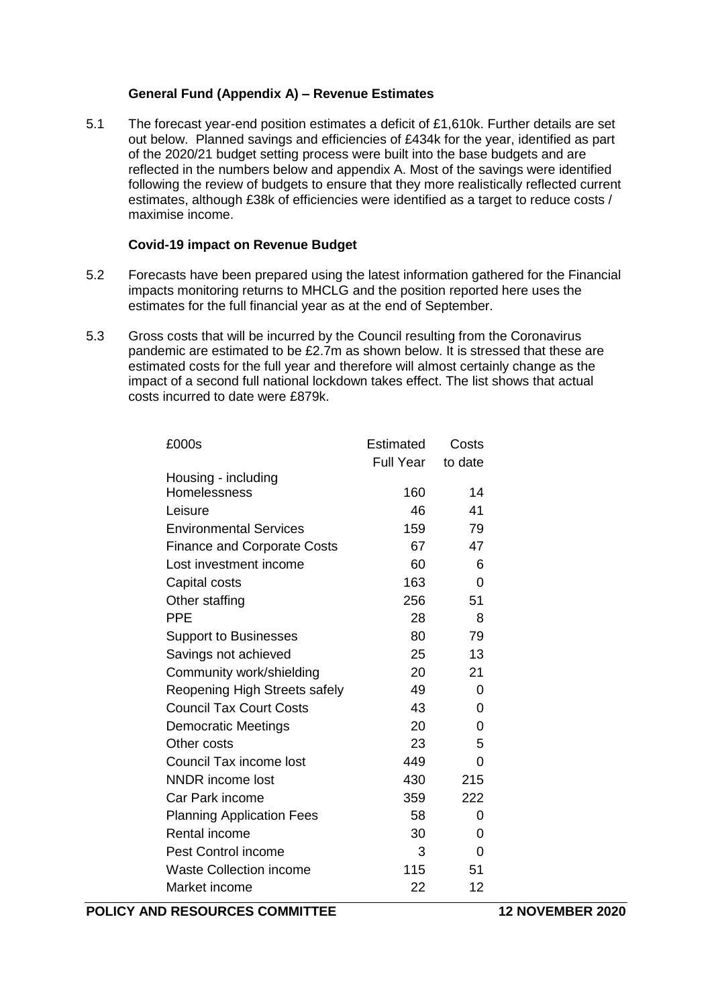## **General Fund (Appendix A) – Revenue Estimates**

5.1 The forecast year-end position estimates a deficit of £1,610k. Further details are set out below. Planned savings and efficiencies of £434k for the year, identified as part of the 2020/21 budget setting process were built into the base budgets and are reflected in the numbers below and appendix A. Most of the savings were identified following the review of budgets to ensure that they more realistically reflected current estimates, although £38k of efficiencies were identified as a target to reduce costs / maximise income.

## **Covid-19 impact on Revenue Budget**

- 5.2 Forecasts have been prepared using the latest information gathered for the Financial impacts monitoring returns to MHCLG and the position reported here uses the estimates for the full financial year as at the end of September.
- 5.3 Gross costs that will be incurred by the Council resulting from the Coronavirus pandemic are estimated to be £2.7m as shown below. It is stressed that these are estimated costs for the full year and therefore will almost certainly change as the impact of a second full national lockdown takes effect. The list shows that actual costs incurred to date were £879k.

| <b>Estimated</b> | Costs     |
|------------------|-----------|
|                  | to date   |
|                  |           |
| 160              | 14        |
| 46               | 41        |
| 159              | 79        |
| 67               | 47        |
| 60               | 6         |
| 163              | 0         |
| 256              | 51        |
| 28               | 8         |
| 80               | 79        |
| 25               | 13        |
| 20               | 21        |
| 49               | 0         |
| 43               | 0         |
| 20               | 0         |
| 23               | 5         |
| 449              | 0         |
| 430              | 215       |
| 359              | 222       |
| 58               | 0         |
| 30               | 0         |
| 3                | 0         |
| 115              | 51        |
| 22               | 12        |
|                  | Full Year |

**POLICY AND RESOURCES COMMITTEE 12 NOVEMBER 2020**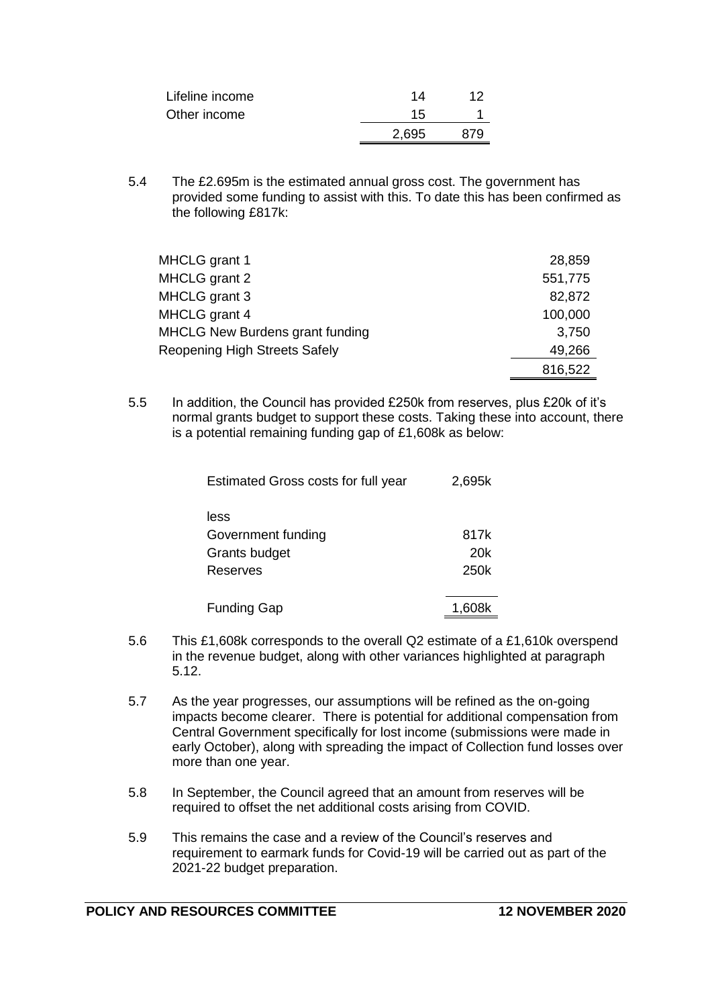| Lifeline income | 14    | 12  |
|-----------------|-------|-----|
| Other income    | 15    |     |
|                 | 2,695 | 879 |
|                 |       |     |

5.4 The £2.695m is the estimated annual gross cost. The government has provided some funding to assist with this. To date this has been confirmed as the following £817k:

| MHCLG grant 1                          | 28,859  |
|----------------------------------------|---------|
| MHCLG grant 2                          | 551,775 |
| MHCLG grant 3                          | 82,872  |
| MHCLG grant 4                          | 100,000 |
| <b>MHCLG New Burdens grant funding</b> | 3,750   |
| <b>Reopening High Streets Safely</b>   | 49,266  |
|                                        | 816,522 |

5.5 In addition, the Council has provided £250k from reserves, plus £20k of it's normal grants budget to support these costs. Taking these into account, there is a potential remaining funding gap of £1,608k as below:

| <b>Estimated Gross costs for full year</b> | 2,695k |
|--------------------------------------------|--------|
| less                                       |        |
| Government funding                         | 817k   |
| Grants budget                              | 20k    |
| Reserves                                   | 250k   |
| <b>Funding Gap</b>                         | 1.608k |

- 5.6 This £1,608k corresponds to the overall Q2 estimate of a £1,610k overspend in the revenue budget, along with other variances highlighted at paragraph 5.12.
- 5.7 As the year progresses, our assumptions will be refined as the on-going impacts become clearer. There is potential for additional compensation from Central Government specifically for lost income (submissions were made in early October), along with spreading the impact of Collection fund losses over more than one year.
- 5.8 In September, the Council agreed that an amount from reserves will be required to offset the net additional costs arising from COVID.
- 5.9 This remains the case and a review of the Council's reserves and requirement to earmark funds for Covid-19 will be carried out as part of the 2021-22 budget preparation.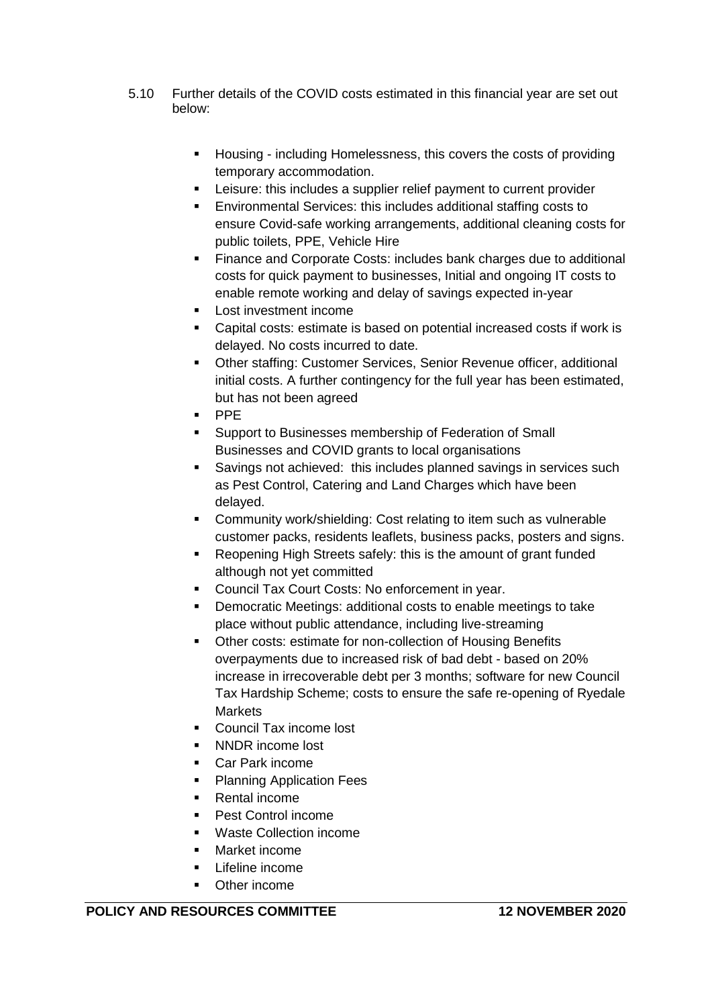- 5.10 Further details of the COVID costs estimated in this financial year are set out below:
	- **Housing including Homelessness, this covers the costs of providing** temporary accommodation.
	- **EXEC** Leisure: this includes a supplier relief payment to current provider
	- Environmental Services: this includes additional staffing costs to ensure Covid-safe working arrangements, additional cleaning costs for public toilets, PPE, Vehicle Hire
	- **Finance and Corporate Costs: includes bank charges due to additional** costs for quick payment to businesses, Initial and ongoing IT costs to enable remote working and delay of savings expected in-year
	- Lost investment income
	- Capital costs: estimate is based on potential increased costs if work is delayed. No costs incurred to date.
	- Other staffing: Customer Services, Senior Revenue officer, additional initial costs. A further contingency for the full year has been estimated, but has not been agreed
	- · PPE
	- Support to Businesses membership of Federation of Small Businesses and COVID grants to local organisations
	- Savings not achieved: this includes planned savings in services such as Pest Control, Catering and Land Charges which have been delayed.
	- **EXEDENT** Community work/shielding: Cost relating to item such as vulnerable customer packs, residents leaflets, business packs, posters and signs.
	- Reopening High Streets safely: this is the amount of grant funded although not yet committed
	- Council Tax Court Costs: No enforcement in year.
	- **Democratic Meetings: additional costs to enable meetings to take** place without public attendance, including live-streaming
	- Other costs: estimate for non-collection of Housing Benefits overpayments due to increased risk of bad debt - based on 20% increase in irrecoverable debt per 3 months; software for new Council Tax Hardship Scheme; costs to ensure the safe re-opening of Ryedale **Markets**
	- Council Tax income lost
	- NNDR income lost
	- Car Park income
	- Planning Application Fees
	- Rental income
	- Pest Control income
	- Waste Collection income
	- Market income
	- Lifeline income
	- Other income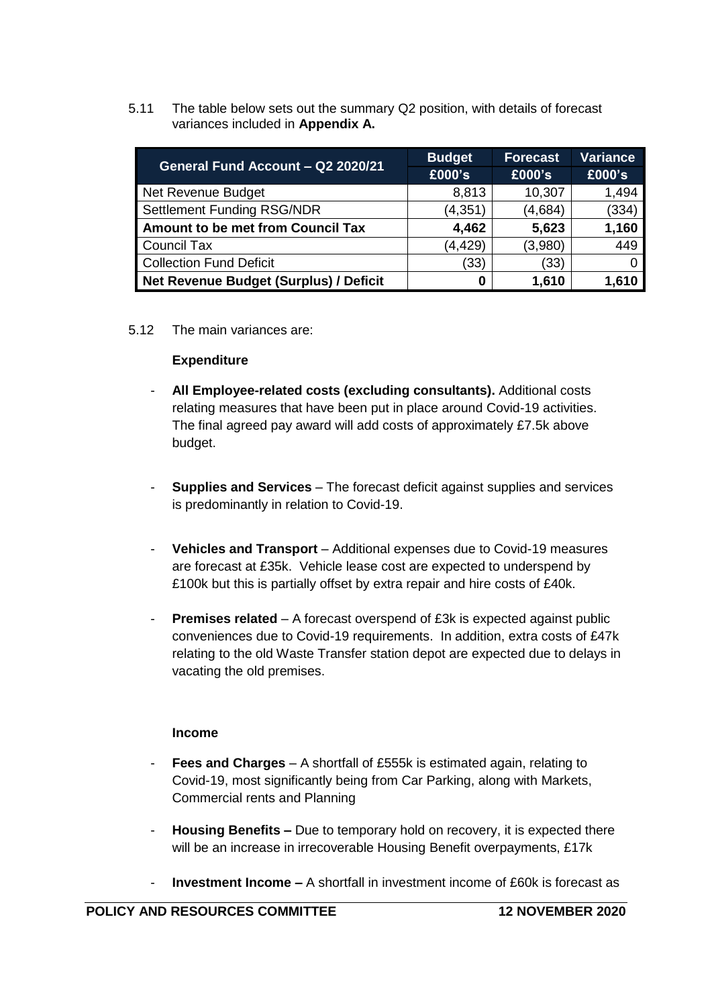5.11 The table below sets out the summary Q2 position, with details of forecast variances included in **Appendix A.**

| General Fund Account - Q2 2020/21        | <b>Budget</b> | <b>Forecast</b> | <b>Variance</b> |
|------------------------------------------|---------------|-----------------|-----------------|
|                                          | £000's        | £000's          | £000's          |
| Net Revenue Budget                       | 8,813         | 10,307          | 1,494           |
| <b>Settlement Funding RSG/NDR</b>        | (4, 351)      | (4,684)         | (334)           |
| <b>Amount to be met from Council Tax</b> | 4,462         | 5,623           | 1,160           |
| Council Tax                              | (4, 429)      | (3,980)         | 449             |
| Collection Fund Deficit                  | (33)          | (33)            |                 |
| Net Revenue Budget (Surplus) / Deficit   | 0             | 1,610           | 1,610           |

## 5.12 The main variances are:

## **Expenditure**

- **All Employee-related costs (excluding consultants).** Additional costs relating measures that have been put in place around Covid-19 activities. The final agreed pay award will add costs of approximately £7.5k above budget.
- **Supplies and Services** The forecast deficit against supplies and services is predominantly in relation to Covid-19.
- **Vehicles and Transport** Additional expenses due to Covid-19 measures are forecast at £35k. Vehicle lease cost are expected to underspend by £100k but this is partially offset by extra repair and hire costs of £40k.
- **Premises related** A forecast overspend of £3k is expected against public conveniences due to Covid-19 requirements. In addition, extra costs of £47k relating to the old Waste Transfer station depot are expected due to delays in vacating the old premises.

## **Income**

- **Fees and Charges** A shortfall of £555k is estimated again, relating to Covid-19, most significantly being from Car Parking, along with Markets, Commercial rents and Planning
- **Housing Benefits –** Due to temporary hold on recovery, it is expected there will be an increase in irrecoverable Housing Benefit overpayments, £17k
- **Investment Income –** A shortfall in investment income of £60k is forecast as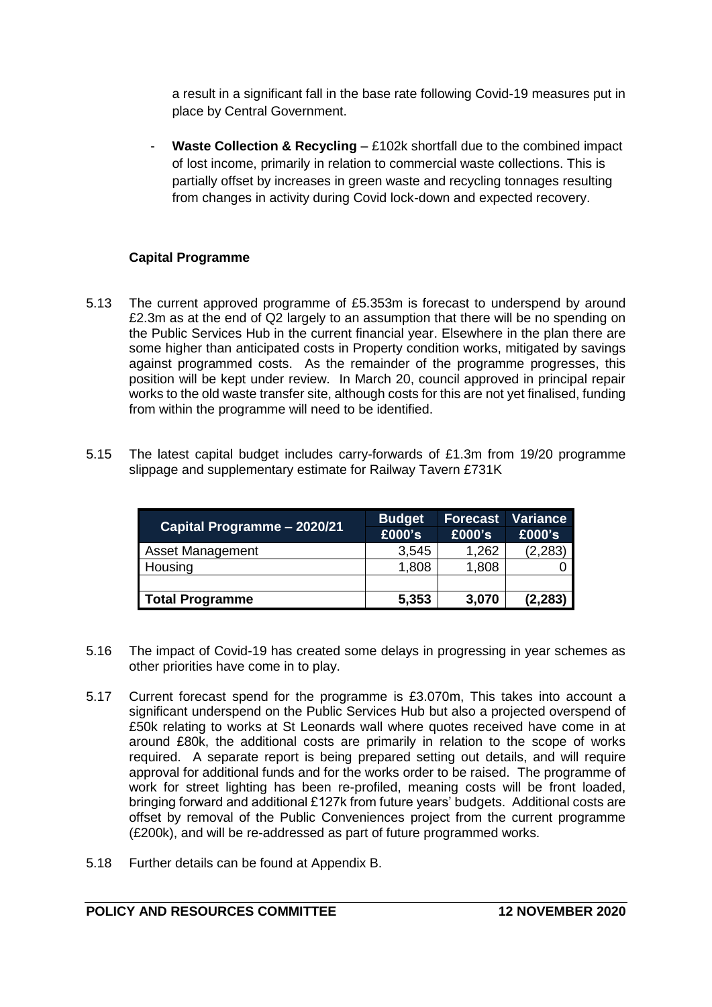a result in a significant fall in the base rate following Covid-19 measures put in place by Central Government.

Waste Collection & Recycling – £102k shortfall due to the combined impact of lost income, primarily in relation to commercial waste collections. This is partially offset by increases in green waste and recycling tonnages resulting from changes in activity during Covid lock-down and expected recovery.

# **Capital Programme**

- 5.13 The current approved programme of £5.353m is forecast to underspend by around £2.3m as at the end of Q2 largely to an assumption that there will be no spending on the Public Services Hub in the current financial year. Elsewhere in the plan there are some higher than anticipated costs in Property condition works, mitigated by savings against programmed costs. As the remainder of the programme progresses, this position will be kept under review. In March 20, council approved in principal repair works to the old waste transfer site, although costs for this are not yet finalised, funding from within the programme will need to be identified.
- 5.15 The latest capital budget includes carry-forwards of £1.3m from 19/20 programme slippage and supplementary estimate for Railway Tavern £731K

| Capital Programme - 2020/21 | <b>Budget</b><br>£000's | <b>Forecast</b><br>£000's | Variance<br>£000's |
|-----------------------------|-------------------------|---------------------------|--------------------|
| <b>Asset Management</b>     | 3,545                   | 1,262                     | (2, 283)           |
| Housing                     | 1,808                   | 1,808                     |                    |
|                             |                         |                           |                    |
| Total Programme             | 5,353                   | 3,070                     | (2, 283)           |

- 5.16 The impact of Covid-19 has created some delays in progressing in year schemes as other priorities have come in to play.
- 5.17 Current forecast spend for the programme is £3.070m, This takes into account a significant underspend on the Public Services Hub but also a projected overspend of £50k relating to works at St Leonards wall where quotes received have come in at around £80k, the additional costs are primarily in relation to the scope of works required. A separate report is being prepared setting out details, and will require approval for additional funds and for the works order to be raised. The programme of work for street lighting has been re-profiled, meaning costs will be front loaded, bringing forward and additional £127k from future years' budgets. Additional costs are offset by removal of the Public Conveniences project from the current programme (£200k), and will be re-addressed as part of future programmed works.
- 5.18 Further details can be found at Appendix B.